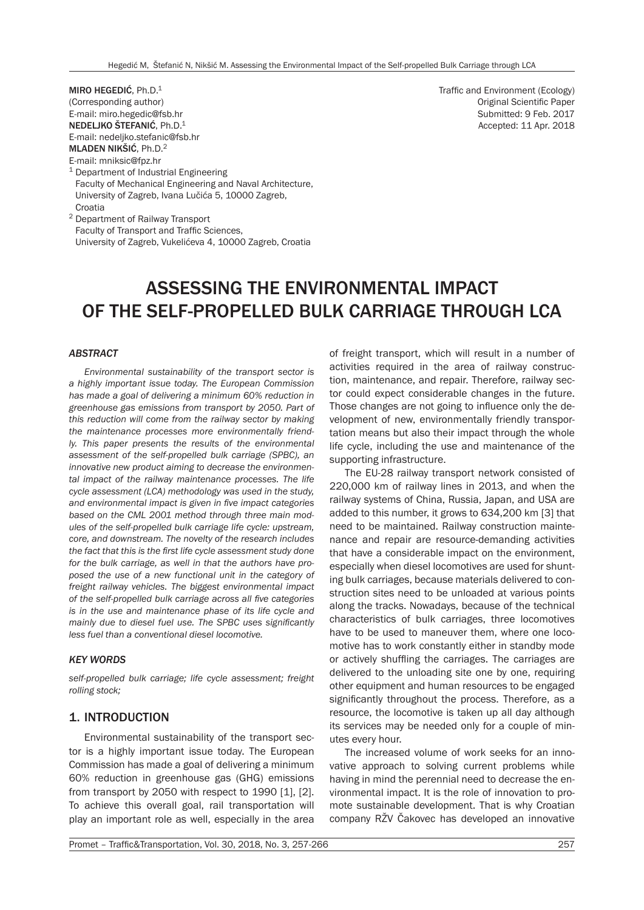MIRO HEGEDIĆ, Ph.D.1 (Corresponding author) E-mail: miro.hegedic@fsb.hr NEDELJKO ŠTEFANIĆ, Ph.D.1 E-mail: nedeljko.stefanic@fsb.hr MLADEN NIKŠIĆ, Ph.D.<sup>2</sup> E-mail: mniksic@fpz.hr

<sup>1</sup> Department of Industrial Engineering Faculty of Mechanical Engineering and Naval Architecture, University of Zagreb, Ivana Lučića 5, 10000 Zagreb, Croatia

<sup>2</sup> Department of Railway Transport Faculty of Transport and Traffic Sciences, University of Zagreb, Vukelićeva 4, 10000 Zagreb, Croatia

# ASSESSING THE ENVIRONMENTAL IMPACT OF THE SELF-PROPELLED BULK CARRIAGE THROUGH LCA

#### *ABSTRACT*

*Environmental sustainability of the transport sector is a highly important issue today. The European Commission has made a goal of delivering a minimum 60% reduction in greenhouse gas emissions from transport by 2050. Part of this reduction will come from the railway sector by making the maintenance processes more environmentally friendly. This paper presents the results of the environmental assessment of the self-propelled bulk carriage (SPBC), an innovative new product aiming to decrease the environmental impact of the railway maintenance processes. The life cycle assessment (LCA) methodology was used in the study, and environmental impact is given in five impact categories based on the CML 2001 method through three main modules of the self-propelled bulk carriage life cycle: upstream, core, and downstream. The novelty of the research includes the fact that this is the first life cycle assessment study done for the bulk carriage, as well in that the authors have proposed the use of a new functional unit in the category of freight railway vehicles. The biggest environmental impact of the self-propelled bulk carriage across all five categories is in the use and maintenance phase of its life cycle and mainly due to diesel fuel use. The SPBC uses significantly less fuel than a conventional diesel locomotive.*

#### *KEY WORDS*

*self-propelled bulk carriage; life cycle assessment; freight rolling stock;*

### 1. INTRODUCTION

Environmental sustainability of the transport sector is a highly important issue today. The European Commission has made a goal of delivering a minimum 60% reduction in greenhouse gas (GHG) emissions from transport by 2050 with respect to 1990 [1], [2]. To achieve this overall goal, rail transportation will play an important role as well, especially in the area of freight transport, which will result in a number of activities required in the area of railway construction, maintenance, and repair. Therefore, railway sector could expect considerable changes in the future. Those changes are not going to influence only the development of new, environmentally friendly transportation means but also their impact through the whole life cycle, including the use and maintenance of the supporting infrastructure.

The EU-28 railway transport network consisted of 220,000 km of railway lines in 2013, and when the railway systems of China, Russia, Japan, and USA are added to this number, it grows to 634,200 km [3] that need to be maintained. Railway construction maintenance and repair are resource-demanding activities that have a considerable impact on the environment, especially when diesel locomotives are used for shunting bulk carriages, because materials delivered to construction sites need to be unloaded at various points along the tracks. Nowadays, because of the technical characteristics of bulk carriages, three locomotives have to be used to maneuver them, where one locomotive has to work constantly either in standby mode or actively shuffling the carriages. The carriages are delivered to the unloading site one by one, requiring other equipment and human resources to be engaged significantly throughout the process. Therefore, as a resource, the locomotive is taken up all day although its services may be needed only for a couple of minutes every hour.

The increased volume of work seeks for an innovative approach to solving current problems while having in mind the perennial need to decrease the environmental impact. It is the role of innovation to promote sustainable development. That is why Croatian company RŽV Čakovec has developed an innovative

Traffic and Environment (Ecology) Original Scientific Paper Submitted: 9 Feb. 2017 Accepted: 11 Apr. 2018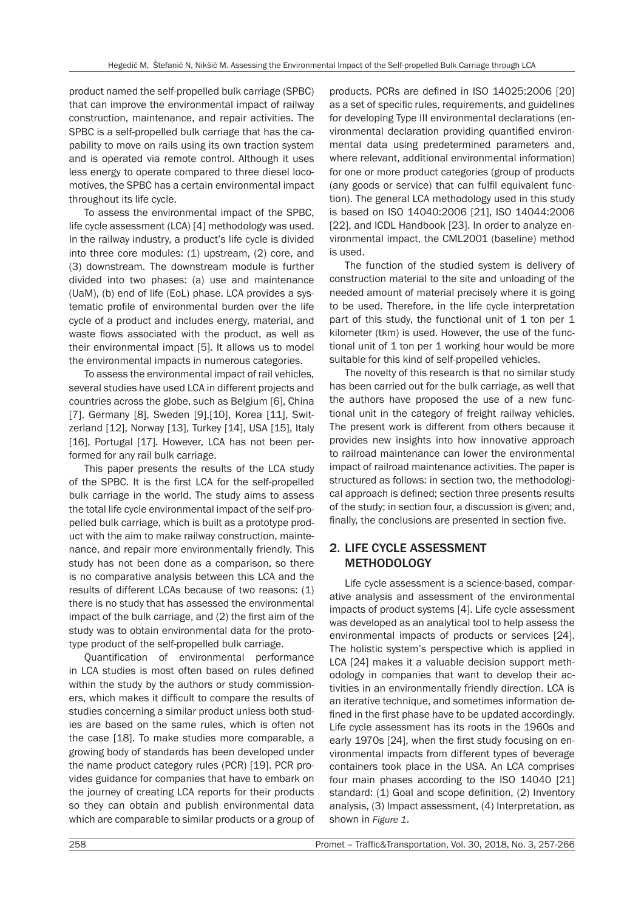product named the self-propelled bulk carriage (SPBC) that can improve the environmental impact of railway construction, maintenance, and repair activities. The SPBC is a self-propelled bulk carriage that has the capability to move on rails using its own traction system and is operated via remote control. Although it uses less energy to operate compared to three diesel locomotives, the SPBC has a certain environmental impact throughout its life cycle.

To assess the environmental impact of the SPBC, life cycle assessment (LCA) [4] methodology was used. In the railway industry, a product's life cycle is divided into three core modules: (1) upstream, (2) core, and (3) downstream. The downstream module is further divided into two phases: (a) use and maintenance (UaM), (b) end of life (EoL) phase. LCA provides a systematic profile of environmental burden over the life cycle of a product and includes energy, material, and waste flows associated with the product, as well as their environmental impact [5]. It allows us to model the environmental impacts in numerous categories.

To assess the environmental impact of rail vehicles, several studies have used LCA in different projects and countries across the globe, such as Belgium [6], China [7], Germany [8], Sweden [9], [10], Korea [11], Switzerland [12], Norway [13], Turkey [14], USA [15], Italy [16], Portugal [17]. However, LCA has not been performed for any rail bulk carriage.

This paper presents the results of the LCA study of the SPBC. It is the first LCA for the self-propelled bulk carriage in the world. The study aims to assess the total life cycle environmental impact of the self-propelled bulk carriage, which is built as a prototype product with the aim to make railway construction, maintenance, and repair more environmentally friendly. This study has not been done as a comparison, so there is no comparative analysis between this LCA and the results of different LCAs because of two reasons: (1) there is no study that has assessed the environmental impact of the bulk carriage, and (2) the first aim of the study was to obtain environmental data for the prototype product of the self-propelled bulk carriage.

Quantification of environmental performance in LCA studies is most often based on rules defined within the study by the authors or study commissioners, which makes it difficult to compare the results of studies concerning a similar product unless both studies are based on the same rules, which is often not the case [18]. To make studies more comparable, a growing body of standards has been developed under the name product category rules (PCR) [19]. PCR provides guidance for companies that have to embark on the journey of creating LCA reports for their products so they can obtain and publish environmental data which are comparable to similar products or a group of

products. PCRs are defined in ISO 14025:2006 [20] as a set of specific rules, requirements, and guidelines for developing Type III environmental declarations (environmental declaration providing quantified environmental data using predetermined parameters and, where relevant, additional environmental information) for one or more product categories (group of products (any goods or service) that can fulfil equivalent function). The general LCA methodology used in this study is based on ISO 14040:2006 [21], ISO 14044:2006 [22], and ICDL Handbook [23]. In order to analyze environmental impact, the CML2001 (baseline) method is used.

The function of the studied system is delivery of construction material to the site and unloading of the needed amount of material precisely where it is going to be used. Therefore, in the life cycle interpretation part of this study, the functional unit of 1 ton per 1 kilometer (tkm) is used. However, the use of the functional unit of 1 ton per 1 working hour would be more suitable for this kind of self-propelled vehicles.

The novelty of this research is that no similar study has been carried out for the bulk carriage, as well that the authors have proposed the use of a new functional unit in the category of freight railway vehicles. The present work is different from others because it provides new insights into how innovative approach to railroad maintenance can lower the environmental impact of railroad maintenance activities. The paper is structured as follows: in section two, the methodological approach is defined; section three presents results of the study; in section four, a discussion is given; and, finally, the conclusions are presented in section five.

# 2. LIFE CYCLE ASSESSMENT **METHODOLOGY**

Life cycle assessment is a science-based, comparative analysis and assessment of the environmental impacts of product systems [4]. Life cycle assessment was developed as an analytical tool to help assess the environmental impacts of products or services [24]. The holistic system's perspective which is applied in LCA [24] makes it a valuable decision support methodology in companies that want to develop their activities in an environmentally friendly direction. LCA is an iterative technique, and sometimes information defined in the first phase have to be updated accordingly. Life cycle assessment has its roots in the 1960s and early 1970s [24], when the first study focusing on environmental impacts from different types of beverage containers took place in the USA. An LCA comprises four main phases according to the ISO 14040 [21] standard: (1) Goal and scope definition, (2) Inventory analysis, (3) Impact assessment, (4) Interpretation, as shown in *Figure 1*.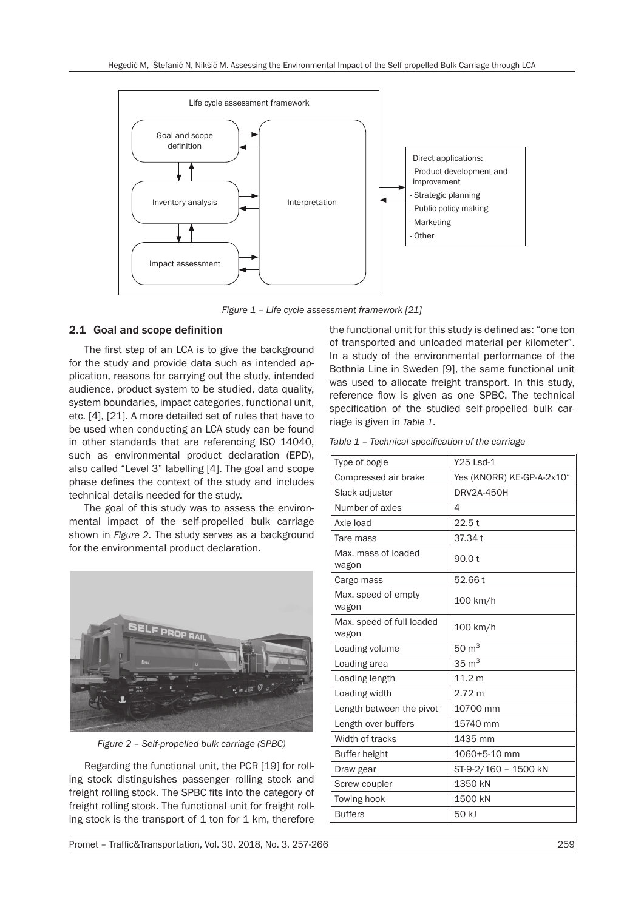

*Figure 1 – Life cycle assessment framework [21]*

## 2.1 Goal and scope definition

The first step of an LCA is to give the background for the study and provide data such as intended application, reasons for carrying out the study, intended audience, product system to be studied, data quality, system boundaries, impact categories, functional unit, etc. [4], [21]. A more detailed set of rules that have to be used when conducting an LCA study can be found in other standards that are referencing ISO 14040, such as environmental product declaration (EPD), also called "Level 3" labelling [4]. The goal and scope phase defines the context of the study and includes technical details needed for the study.

The goal of this study was to assess the environmental impact of the self-propelled bulk carriage shown in *Figure 2*. The study serves as a background for the environmental product declaration.



*Figure 2 – Self-propelled bulk carriage (SPBC)*

Regarding the functional unit, the PCR [19] for rolling stock distinguishes passenger rolling stock and freight rolling stock. The SPBC fits into the category of freight rolling stock. The functional unit for freight rolling stock is the transport of  $1$  ton for  $1$  km, therefore

the functional unit for this study is defined as: "one ton of transported and unloaded material per kilometer". In a study of the environmental performance of the Bothnia Line in Sweden [9], the same functional unit was used to allocate freight transport. In this study, reference flow is given as one SPBC. The technical specification of the studied self-propelled bulk carriage is given in *Table 1*.

*Table 1 – Technical specification of the carriage*

| Y25 Lsd-1                 |
|---------------------------|
| Yes (KNORR) KE-GP-A-2x10" |
| DRV2A-450H                |
| 4                         |
| 22.5t                     |
| 37.34 t                   |
| 90.0 t                    |
| 52.66 t                   |
| 100 km/h                  |
| 100 km/h                  |
| $50 \text{ m}^3$          |
| $35 \text{ m}^3$          |
| 11.2 <sub>m</sub>         |
| 2.72 m                    |
| 10700 mm                  |
| 15740 mm                  |
| 1435 mm                   |
| 1060+5-10 mm              |
| ST-9-2/160 - 1500 kN      |
| 1350 kN                   |
| 1500 kN                   |
| 50 kJ                     |
|                           |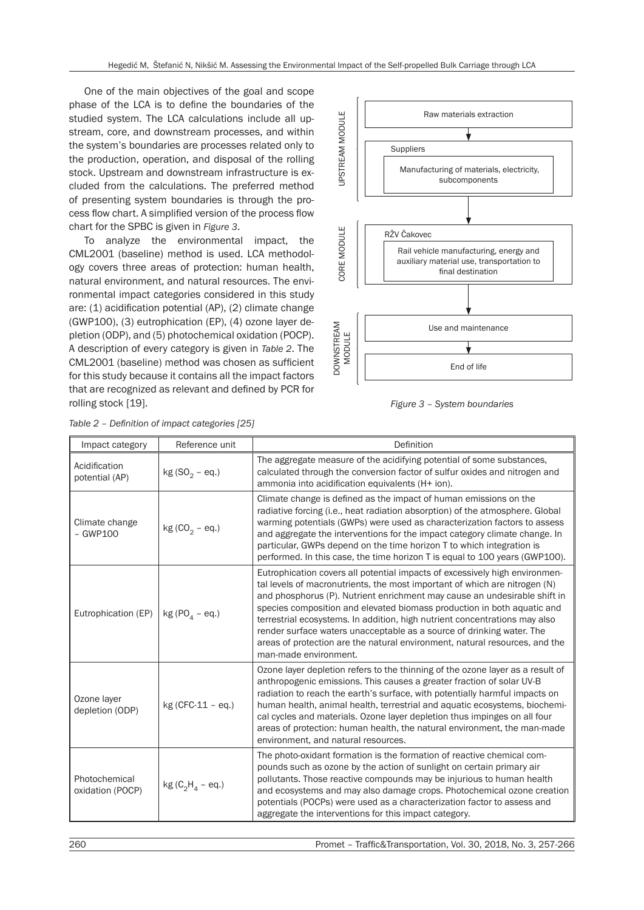One of the main objectives of the goal and scope phase of the LCA is to define the boundaries of the studied system. The LCA calculations include all upstream, core, and downstream processes, and within the system's boundaries are processes related only to the production, operation, and disposal of the rolling stock. Upstream and downstream infrastructure is excluded from the calculations. The preferred method of presenting system boundaries is through the process flow chart. A simplified version of the process flow chart for the SPBC is given in *Figure 3*.

To analyze the environmental impact, the CML2001 (baseline) method is used. LCA methodology covers three areas of protection: human health, natural environment, and natural resources. The environmental impact categories considered in this study are: (1) acidification potential (AP), (2) climate change (GWP100), (3) eutrophication (EP), (4) ozone layer depletion (ODP), and (5) photochemical oxidation (POCP). A description of every category is given in *Table 2*. The CML2001 (baseline) method was chosen as sufficient for this study because it contains all the impact factors that are recognized as relevant and defined by PCR for rolling stock [19].



*Figure 3 – System boundaries*

| Impact category                   | Reference unit      | Definition                                                                                                                                                                                                                                                                                                                                                                                                                                                                                                                                                                       |
|-----------------------------------|---------------------|----------------------------------------------------------------------------------------------------------------------------------------------------------------------------------------------------------------------------------------------------------------------------------------------------------------------------------------------------------------------------------------------------------------------------------------------------------------------------------------------------------------------------------------------------------------------------------|
| Acidification<br>potential (AP)   | $kg(SO2 - eq.)$     | The aggregate measure of the acidifying potential of some substances,<br>calculated through the conversion factor of sulfur oxides and nitrogen and<br>ammonia into acidification equivalents (H+ ion).                                                                                                                                                                                                                                                                                                                                                                          |
| Climate change<br>$-$ GWP100      | $kg (CO2 - eq.)$    | Climate change is defined as the impact of human emissions on the<br>radiative forcing (i.e., heat radiation absorption) of the atmosphere. Global<br>warming potentials (GWPs) were used as characterization factors to assess<br>and aggregate the interventions for the impact category climate change. In<br>particular, GWPs depend on the time horizon T to which integration is<br>performed. In this case, the time horizon T is equal to 100 years (GWP100).                                                                                                            |
| Eutrophication (EP)               | kg (PO $_A$ – eq.)  | Eutrophication covers all potential impacts of excessively high environmen-<br>tal levels of macronutrients, the most important of which are nitrogen (N)<br>and phosphorus (P). Nutrient enrichment may cause an undesirable shift in<br>species composition and elevated biomass production in both aquatic and<br>terrestrial ecosystems. In addition, high nutrient concentrations may also<br>render surface waters unacceptable as a source of drinking water. The<br>areas of protection are the natural environment, natural resources, and the<br>man-made environment. |
| Ozone layer<br>depletion (ODP)    | $kg$ (CFC-11 - eq.) | Ozone layer depletion refers to the thinning of the ozone layer as a result of<br>anthropogenic emissions. This causes a greater fraction of solar UV-B<br>radiation to reach the earth's surface, with potentially harmful impacts on<br>human health, animal health, terrestrial and aquatic ecosystems, biochemi-<br>cal cycles and materials. Ozone layer depletion thus impinges on all four<br>areas of protection: human health, the natural environment, the man-made<br>environment, and natural resources.                                                             |
| Photochemical<br>oxidation (POCP) | $kg (C_2H_4 - eq.)$ | The photo-oxidant formation is the formation of reactive chemical com-<br>pounds such as ozone by the action of sunlight on certain primary air<br>pollutants. Those reactive compounds may be injurious to human health<br>and ecosystems and may also damage crops. Photochemical ozone creation<br>potentials (POCPs) were used as a characterization factor to assess and<br>aggregate the interventions for this impact category.                                                                                                                                           |

*Table 2 – Definition of impact categories [25]*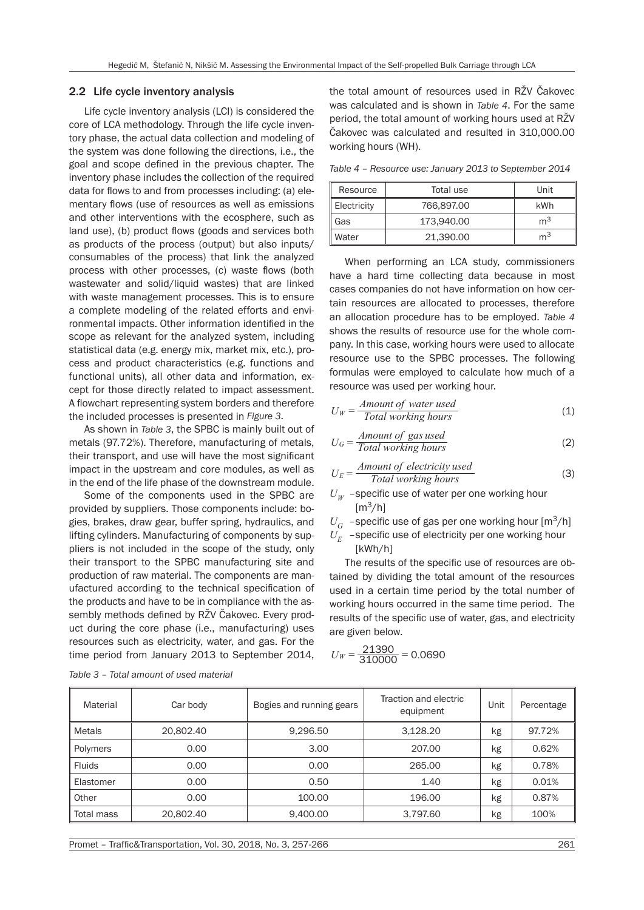#### 2.2 Life cycle inventory analysis

Life cycle inventory analysis (LCI) is considered the core of LCA methodology. Through the life cycle inventory phase, the actual data collection and modeling of the system was done following the directions, i.e., the goal and scope defined in the previous chapter. The inventory phase includes the collection of the required data for flows to and from processes including: (a) elementary flows (use of resources as well as emissions and other interventions with the ecosphere, such as land use), (b) product flows (goods and services both as products of the process (output) but also inputs/ consumables of the process) that link the analyzed process with other processes, (c) waste flows (both wastewater and solid/liquid wastes) that are linked with waste management processes. This is to ensure a complete modeling of the related efforts and environmental impacts. Other information identified in the scope as relevant for the analyzed system, including statistical data (e.g. energy mix, market mix, etc.), process and product characteristics (e.g. functions and functional units), all other data and information, except for those directly related to impact assessment. A flowchart representing system borders and therefore the included processes is presented in *Figure 3*.

As shown in *Table 3*, the SPBC is mainly built out of metals (97.72%). Therefore, manufacturing of metals, their transport, and use will have the most significant impact in the upstream and core modules, as well as in the end of the life phase of the downstream module.

Some of the components used in the SPBC are provided by suppliers. Those components include: bogies, brakes, draw gear, buffer spring, hydraulics, and lifting cylinders. Manufacturing of components by suppliers is not included in the scope of the study, only their transport to the SPBC manufacturing site and production of raw material. The components are manufactured according to the technical specification of the products and have to be in compliance with the assembly methods defined by RŽV Čakovec. Every product during the core phase (i.e., manufacturing) uses resources such as electricity, water, and gas. For the time period from January 2013 to September 2014,

the total amount of resources used in RŽV Čakovec was calculated and is shown in *Table 4*. For the same period, the total amount of working hours used at RŽV Čakovec was calculated and resulted in 310,000.00 working hours (WH).

*Table 4 – Resource use: January 2013 to September 2014*

| Resource    | Total use  | Unit           |
|-------------|------------|----------------|
| Electricity | 766,897.00 | kWh            |
| Gas         | 173,940,00 | m <sup>3</sup> |
| Water       | 21,390,00  | m <sup>3</sup> |

When performing an LCA study, commissioners have a hard time collecting data because in most cases companies do not have information on how certain resources are allocated to processes, therefore an allocation procedure has to be employed. *Table 4* shows the results of resource use for the whole company. In this case, working hours were used to allocate resource use to the SPBC processes. The following formulas were employed to calculate how much of a resource was used per working hour.

$$
U_W = \frac{Amount of water used}{Total working hours}
$$
 (1)

$$
U_G = \frac{Amount of gas used}{Total working hours}
$$
 (2)

$$
U_E = \frac{Amount of electricity used}{Total working hours}
$$
 (3)

 $U_w$  –specific use of water per one working hour  $[m^3/h]$ 

 $U_G$  –specific use of gas per one working hour  $\lceil m^3/h \rceil$ 

 $U_F$  –specific use of electricity per one working hour [kWh/h]

The results of the specific use of resources are obtained by dividing the total amount of the resources used in a certain time period by the total number of working hours occurred in the same time period. The results of the specific use of water, gas, and electricity are given below.

$$
U_W = \frac{21390}{310000} = 0.0690
$$

| Material      | Car body  | Bogies and running gears | Traction and electric<br>equipment | Unit | Percentage |
|---------------|-----------|--------------------------|------------------------------------|------|------------|
| Metals        | 20,802,40 | 9.296.50                 | 3.128.20                           | kg   | 97.72%     |
| Polymers      | 0.00      | 3.00                     | 207.00                             | kg   | 0.62%      |
| <b>Fluids</b> | 0.00      | 0.00                     | 265.00                             | kg   | 0.78%      |
| Elastomer     | 0.00      | 0.50                     | 1.40                               | kg   | 0.01%      |
| Other         | 0.00      | 100.00                   | 196.00                             | kg   | 0.87%      |
| Total mass    | 20,802.40 | 9,400.00                 | 3,797.60                           | kg   | 100%       |

*Table 3 – Total amount of used material*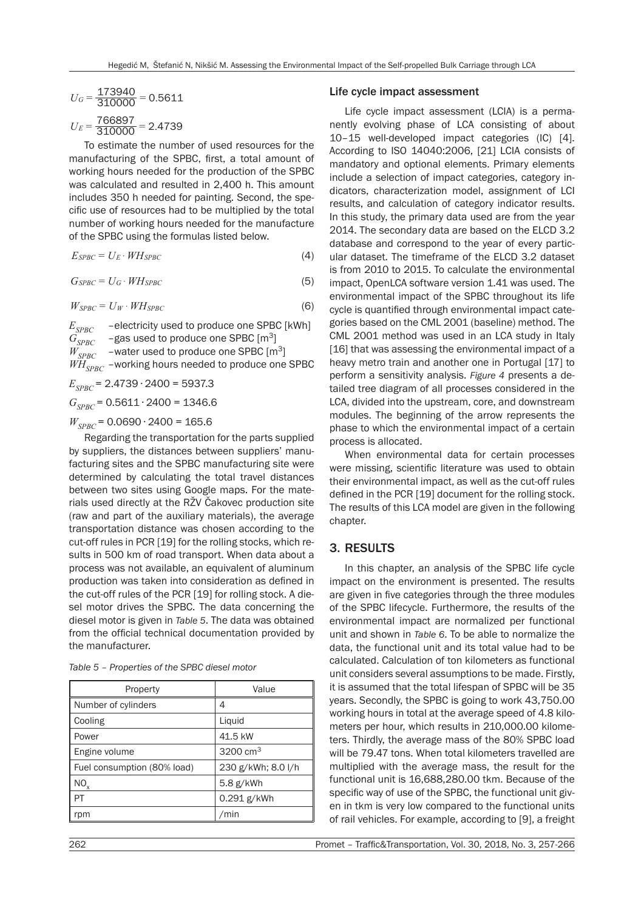$$
U_G = \frac{173940}{310000} = 0.5611
$$

$$
U_E = \frac{766897}{310000} = 2.4739
$$

To estimate the number of used resources for the manufacturing of the SPBC, first, a total amount of working hours needed for the production of the SPBC was calculated and resulted in 2,400 h. This amount includes 350 h needed for painting. Second, the specific use of resources had to be multiplied by the total number of working hours needed for the manufacture of the SPBC using the formulas listed below.

$$
E_{SPBC} = U_E \cdot WH_{SPBC} \tag{4}
$$

$$
G_{SPBC} = U_G \cdot WH_{SPBC} \tag{5}
$$

$$
W_{SPBC} = U_W \cdot WH_{SPBC} \tag{6}
$$

 $E_{SPBC}$  –electricity used to produce one SPBC [kWh]<br> $G_{SPBC}$  –gas used to produce one SPBC [m<sup>3</sup>]  $G_{SPBC}$  –gas used to produce one SPBC  $[m^3]$ <br> $W_{SPBC}$  –water used to produce one SPBC [m -water used to produce one SPBC [m<sup>3</sup>]  $W\!H_{SPBC}$  –working hours needed to produce one SPBC  $E_{SPBC}$  = 2.4739 ⋅ 2400 = 5937.3

 $G_{SPBC}$  = 0.5611 ⋅ 2400 = 1346.6

#### $W_{SPBC}$  = 0.0690 ⋅ 2400 = 165.6

Regarding the transportation for the parts supplied by suppliers, the distances between suppliers' manufacturing sites and the SPBC manufacturing site were determined by calculating the total travel distances between two sites using Google maps. For the materials used directly at the RŽV Čakovec production site (raw and part of the auxiliary materials), the average transportation distance was chosen according to the cut-off rules in PCR [19] for the rolling stocks, which results in 500 km of road transport. When data about a process was not available, an equivalent of aluminum production was taken into consideration as defined in the cut-off rules of the PCR [19] for rolling stock. A diesel motor drives the SPBC. The data concerning the diesel motor is given in *Table 5*. The data was obtained from the official technical documentation provided by the manufacturer.

*Table 5 – Properties of the SPBC diesel motor*

| Property                    | Value              |  |
|-----------------------------|--------------------|--|
| Number of cylinders         | 4                  |  |
| Cooling                     | Liquid             |  |
| Power                       | 41.5 kW            |  |
| Engine volume               | 3200 $cm3$         |  |
| Fuel consumption (80% load) | 230 g/kWh; 8.0 l/h |  |
| NO <sub>x</sub>             | $5.8$ g/kWh        |  |
| PT                          | 0.291 g/kWh        |  |
| rpm                         | /min               |  |

#### Life cycle impact assessment

Life cycle impact assessment (LCIA) is a permanently evolving phase of LCA consisting of about 10–15 well-developed impact categories (IC) [4]. According to ISO 14040:2006, [21] LCIA consists of mandatory and optional elements. Primary elements include a selection of impact categories, category indicators, characterization model, assignment of LCI results, and calculation of category indicator results. In this study, the primary data used are from the year 2014. The secondary data are based on the ELCD 3.2 database and correspond to the year of every particular dataset. The timeframe of the ELCD 3.2 dataset is from 2010 to 2015. To calculate the environmental impact, OpenLCA software version 1.41 was used. The environmental impact of the SPBC throughout its life cycle is quantified through environmental impact categories based on the CML 2001 (baseline) method. The CML 2001 method was used in an LCA study in Italy [16] that was assessing the environmental impact of a heavy metro train and another one in Portugal [17] to perform a sensitivity analysis. *Figure 4* presents a detailed tree diagram of all processes considered in the LCA, divided into the upstream, core, and downstream modules. The beginning of the arrow represents the phase to which the environmental impact of a certain process is allocated.

When environmental data for certain processes were missing, scientific literature was used to obtain their environmental impact, as well as the cut-off rules defined in the PCR [19] document for the rolling stock. The results of this LCA model are given in the following chapter.

#### 3. RESULTS

In this chapter, an analysis of the SPBC life cycle impact on the environment is presented. The results are given in five categories through the three modules of the SPBC lifecycle. Furthermore, the results of the environmental impact are normalized per functional unit and shown in *Table 6*. To be able to normalize the data, the functional unit and its total value had to be calculated. Calculation of ton kilometers as functional unit considers several assumptions to be made. Firstly, it is assumed that the total lifespan of SPBC will be 35 years. Secondly, the SPBC is going to work 43,750.00 working hours in total at the average speed of 4.8 kilometers per hour, which results in 210,000.00 kilometers. Thirdly, the average mass of the 80% SPBC load will be 79.47 tons. When total kilometers travelled are multiplied with the average mass, the result for the functional unit is 16,688,280.00 tkm. Because of the specific way of use of the SPBC, the functional unit given in tkm is very low compared to the functional units of rail vehicles. For example, according to [9], a freight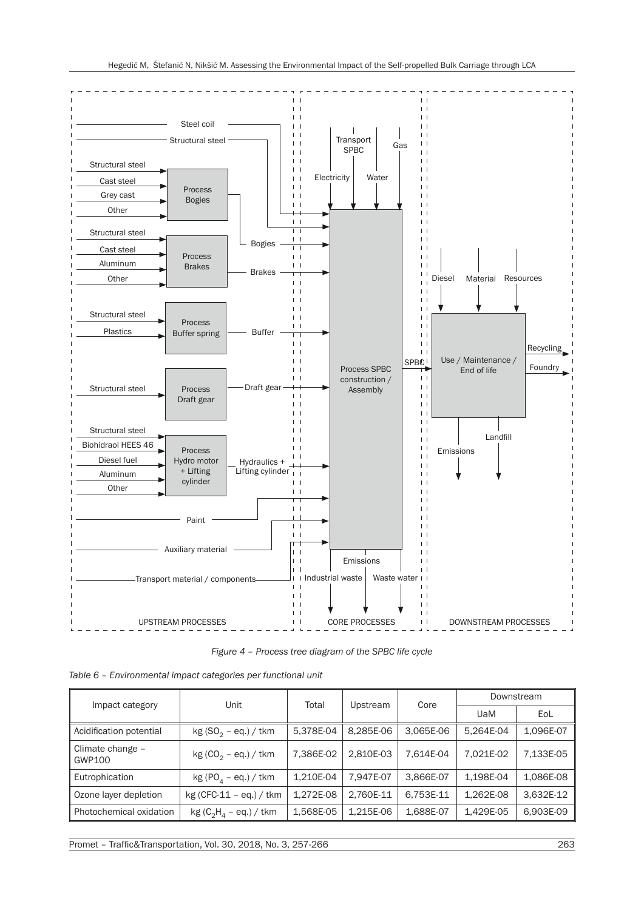

*Figure 4 – Process tree diagram of the SPBC life cycle*

| Impact category            | Unit                                           | Total     | Upstream  | Core      | Downstream |           |
|----------------------------|------------------------------------------------|-----------|-----------|-----------|------------|-----------|
|                            |                                                |           |           |           | UaM        | EoL       |
| Acidification potential    | $kg(SO2 - eq.) / tkm$                          | 5,378E-04 | 8.285E-06 | 3.065E-06 | 5.264E-04  | 1,096E-07 |
| Climate change -<br>GWP100 | $kg (CO_2 - eq.) / tkm$                        | 7,386E-02 | 2.810E-03 | 7.614E-04 | 7.021E-02  | 7,133E-05 |
| Eutrophication             | kg (PO <sub><math>_4</math></sub> – eq.) / tkm | 1.210E-04 | 7.947E-07 | 3.866E-07 | 1.198E-04  | 1,086E-08 |
| Ozone layer depletion      | $kg (CFC-11 - eq.) / tkm$                      | 1.272E-08 | 2,760E-11 | 6.753E-11 | 1.262E-08  | 3,632E-12 |
| Photochemical oxidation    | $kg (C_2H_4 - eq.) /$ tkm                      | 1,568E-05 | 1.215E-06 | 1,688E-07 | 1,429E-05  | 6,903E-09 |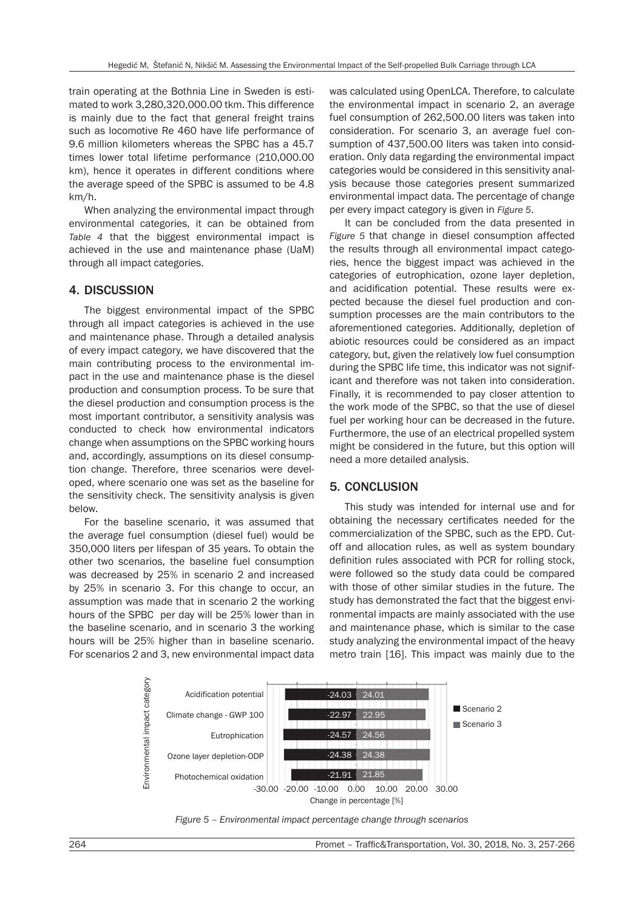train operating at the Bothnia Line in Sweden is estimated to work 3,280,320,000.00 tkm. This difference is mainly due to the fact that general freight trains such as locomotive Re 460 have life performance of 9.6 million kilometers whereas the SPBC has a 45.7 times lower total lifetime performance (210,000.00 km), hence it operates in different conditions where the average speed of the SPBC is assumed to be 4.8 km/h.

When analyzing the environmental impact through environmental categories, it can be obtained from *Table 4* that the biggest environmental impact is achieved in the use and maintenance phase (UaM) through all impact categories.

## 4. DISCUSSION

The biggest environmental impact of the SPBC through all impact categories is achieved in the use and maintenance phase. Through a detailed analysis of every impact category, we have discovered that the main contributing process to the environmental impact in the use and maintenance phase is the diesel production and consumption process. To be sure that the diesel production and consumption process is the most important contributor, a sensitivity analysis was conducted to check how environmental indicators change when assumptions on the SPBC working hours and, accordingly, assumptions on its diesel consumption change. Therefore, three scenarios were developed, where scenario one was set as the baseline for the sensitivity check. The sensitivity analysis is given below.

For the baseline scenario, it was assumed that the average fuel consumption (diesel fuel) would be 350,000 liters per lifespan of 35 years. To obtain the other two scenarios, the baseline fuel consumption was decreased by 25% in scenario 2 and increased by 25% in scenario 3. For this change to occur, an assumption was made that in scenario 2 the working hours of the SPBC per day will be 25% lower than in the baseline scenario, and in scenario 3 the working hours will be 25% higher than in baseline scenario. For scenarios 2 and 3, new environmental impact data

was calculated using OpenLCA. Therefore, to calculate the environmental impact in scenario 2, an average fuel consumption of 262,500.00 liters was taken into consideration. For scenario 3, an average fuel consumption of 437,500.00 liters was taken into consideration. Only data regarding the environmental impact categories would be considered in this sensitivity analysis because those categories present summarized environmental impact data. The percentage of change per every impact category is given in *Figure 5*.

It can be concluded from the data presented in *Figure 5* that change in diesel consumption affected the results through all environmental impact categories, hence the biggest impact was achieved in the categories of eutrophication, ozone layer depletion, and acidification potential. These results were expected because the diesel fuel production and consumption processes are the main contributors to the aforementioned categories. Additionally, depletion of abiotic resources could be considered as an impact category, but, given the relatively low fuel consumption during the SPBC life time, this indicator was not significant and therefore was not taken into consideration. Finally, it is recommended to pay closer attention to the work mode of the SPBC, so that the use of diesel fuel per working hour can be decreased in the future. Furthermore, the use of an electrical propelled system might be considered in the future, but this option will need a more detailed analysis.

## 5. CONCLUSION

This study was intended for internal use and for obtaining the necessary certificates needed for the commercialization of the SPBC, such as the EPD. Cutoff and allocation rules, as well as system boundary definition rules associated with PCR for rolling stock, were followed so the study data could be compared with those of other similar studies in the future. The study has demonstrated the fact that the biggest environmental impacts are mainly associated with the use and maintenance phase, which is similar to the case study analyzing the environmental impact of the heavy metro train [16]. This impact was mainly due to the



*Figure 5 – Environmental impact percentage change through scenarios*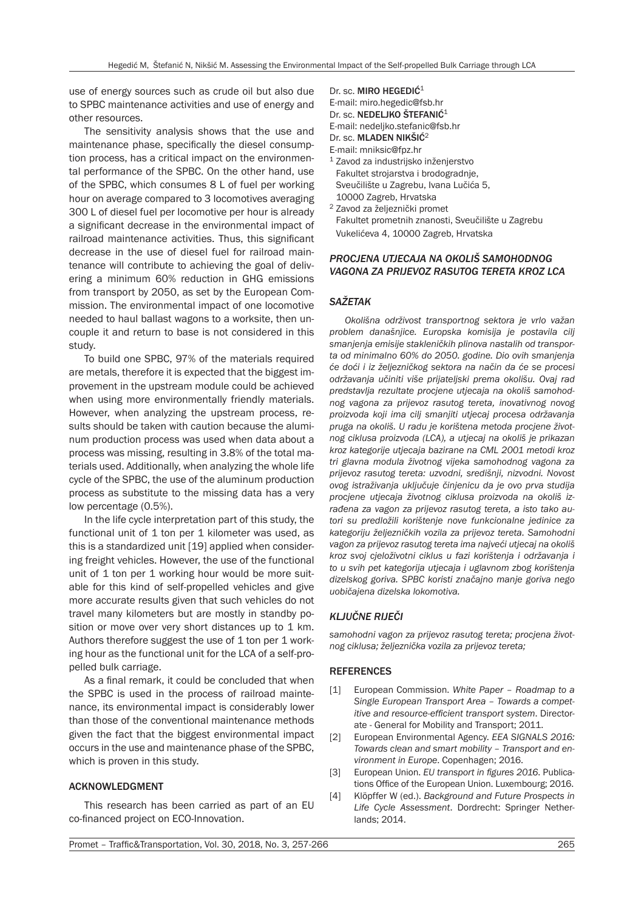use of energy sources such as crude oil but also due to SPBC maintenance activities and use of energy and other resources.

The sensitivity analysis shows that the use and maintenance phase, specifically the diesel consumption process, has a critical impact on the environmental performance of the SPBC. On the other hand, use of the SPBC, which consumes 8 L of fuel per working hour on average compared to 3 locomotives averaging 300 L of diesel fuel per locomotive per hour is already a significant decrease in the environmental impact of railroad maintenance activities. Thus, this significant decrease in the use of diesel fuel for railroad maintenance will contribute to achieving the goal of delivering a minimum 60% reduction in GHG emissions from transport by 2050, as set by the European Commission. The environmental impact of one locomotive needed to haul ballast wagons to a worksite, then uncouple it and return to base is not considered in this study.

To build one SPBC, 97% of the materials required are metals, therefore it is expected that the biggest improvement in the upstream module could be achieved when using more environmentally friendly materials. However, when analyzing the upstream process, results should be taken with caution because the aluminum production process was used when data about a process was missing, resulting in 3.8% of the total materials used. Additionally, when analyzing the whole life cycle of the SPBC, the use of the aluminum production process as substitute to the missing data has a very low percentage (0.5%).

In the life cycle interpretation part of this study, the functional unit of  $1$  ton per  $1$  kilometer was used, as this is a standardized unit [19] applied when considering freight vehicles. However, the use of the functional unit of 1 ton per 1 working hour would be more suitable for this kind of self-propelled vehicles and give more accurate results given that such vehicles do not travel many kilometers but are mostly in standby position or move over very short distances up to 1 km. Authors therefore suggest the use of 1 ton per 1 working hour as the functional unit for the LCA of a self-propelled bulk carriage.

As a final remark, it could be concluded that when the SPBC is used in the process of railroad maintenance, its environmental impact is considerably lower than those of the conventional maintenance methods given the fact that the biggest environmental impact occurs in the use and maintenance phase of the SPBC, which is proven in this study.

#### ACKNOWLEDGMENT

This research has been carried as part of an EU co-financed project on ECO-Innovation.

Dr. sc. MIRO HEGEDIĆ<sup>1</sup> E-mail: miro.hegedic@fsb.hr Dr. sc. NEDELJKO ŠTEFANIĆ<sup>1</sup> E-mail: nedeljko.stefanic@fsb.hr Dr. sc. MLADEN NIKŠIĆ<sup>2</sup>

E-mail: mniksic@fpz.hr

- <sup>1</sup> Zavod za industrijsko inženjerstvo Fakultet strojarstva i brodogradnje, Sveučilište u Zagrebu, Ivana Lučića 5, 10000 Zagreb, Hrvatska
- <sup>2</sup> Zavod za željeznički promet Fakultet prometnih znanosti, Sveučilište u Zagrebu Vukelićeva 4, 10000 Zagreb, Hrvatska

#### *PROCJENA UTJECAJA NA OKOLIŠ SAMOHODNOG VAGONA ZA PRIJEVOZ RASUTOG TERETA KROZ LCA*

### *SAŽETAK*

*Okolišna održivost transportnog sektora je vrlo važan problem današnjice. Europska komisija je postavila cilj smanjenja emisije stakleničkih plinova nastalih od transporta od minimalno 60% do 2050. godine. Dio ovih smanjenja će doći i iz željezničkog sektora na način da će se procesi održavanja učiniti više prijateljski prema okolišu. Ovaj rad predstavlja rezultate procjene utjecaja na okoliš samohodnog vagona za prijevoz rasutog tereta, inovativnog novog proizvoda koji ima cilj smanjiti utjecaj procesa održavanja pruga na okoliš. U radu je korištena metoda procjene životnog ciklusa proizvoda (LCA), a utjecaj na okoliš je prikazan kroz kategorije utjecaja bazirane na CML 2001 metodi kroz tri glavna modula životnog vijeka samohodnog vagona za prijevoz rasutog tereta: uzvodni, središnji, nizvodni. Novost ovog istraživanja uključuje činjenicu da je ovo prva studija procjene utjecaja životnog ciklusa proizvoda na okoliš izrađena za vagon za prijevoz rasutog tereta, a isto tako autori su predložili korištenje nove funkcionalne jedinice za kategoriju željezničkih vozila za prijevoz tereta. Samohodni vagon za prijevoz rasutog tereta ima najveći utjecaj na okoliš kroz svoj cjeloživotni ciklus u fazi korištenja i održavanja i to u svih pet kategorija utjecaja i uglavnom zbog korištenja dizelskog goriva. SPBC koristi značajno manje goriva nego uobičajena dizelska lokomotiva.*

#### *KLJUČNE RIJEČI*

*samohodni vagon za prijevoz rasutog tereta; procjena životnog ciklusa; željeznička vozila za prijevoz tereta;* 

#### **REFERENCES**

- [1] European Commission. *White Paper Roadmap to a Single European Transport Area – Towards a competitive and resource-efficient transport system*. Directorate - General for Mobility and Transport; 2011.
- [2] European Environmental Agency. *EEA SIGNALS 2016: Towards clean and smart mobility – Transport and environment in Europe*. Copenhagen; 2016.
- [3] European Union. *EU transport in figures 2016*. Publications Office of the European Union. Luxembourg; 2016.
- [4] Klöpffer W (ed.). *Background and Future Prospects in Life Cycle Assessment*. Dordrecht: Springer Netherlands; 2014.

Promet – Traffic&Transportation, Vol. 30, 2018, No. 3, 257-266 265 265